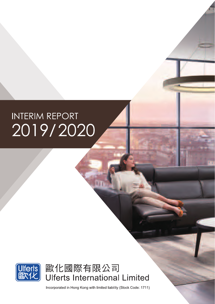# **INTERIM REPORT** 2019/2020



歐化國際有限公司 **Ulferts International Limited** 

Incorporated in Hong Kong with limited liability (Stock Code: 1711)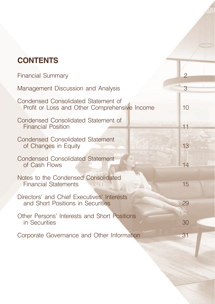## **CONTENTS**

| <b>Financial Summary</b>                                                             | $\overline{2}$ |
|--------------------------------------------------------------------------------------|----------------|
| Management Discussion and Analysis                                                   | 3              |
| Condensed Consolidated Statement of<br>Profit or Loss and Other Comprehensive Income | 10             |
| Condensed Consolidated Statement of<br><b>Financial Position</b>                     | 11             |
| <b>Condensed Consolidated Statement</b><br>of Changes in Equity                      | 13             |
| <b>Condensed Consolidated Statement</b><br>of Cash Flows                             | 14             |
| Notes to the Condensed Consolidated<br><b>Financial Statements</b>                   | 15             |
| Directors' and Chief Executives' Interests<br>and Short Positions in Securities      | 29             |
| Other Persons' Interests and Short Positions<br>in Securities                        | 30             |
| Corporate Governance and Other Information                                           | 31             |
|                                                                                      |                |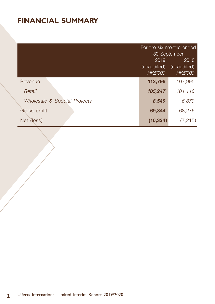## **FINANCIAL SUMMARY**

|                              | For the six months ended<br>30 September<br>2019<br>2018<br>(unaudited)<br>(unaudited)<br>HK\$'000<br>HK\$'000 |          |
|------------------------------|----------------------------------------------------------------------------------------------------------------|----------|
| Revenue                      | 113,796                                                                                                        | 107,995  |
| Retail                       | 105,247                                                                                                        | 101.116  |
| Wholesale & Special Projects | 8,549                                                                                                          | 6,879    |
| Gross profit                 | 69,344                                                                                                         | 68,276   |
| Net (loss)                   | (10, 324)                                                                                                      | (7, 215) |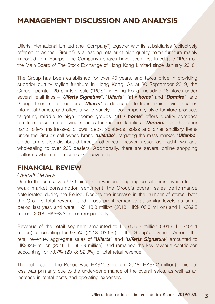Ulferts International Limited (the "Company") together with its subsidiaries (collectively referred to as the "Group") is a leading retailer of high quality home furniture mainly imported from Europe. The Company's shares have been first listed (the "IPO") on the Main Board of The Stock Exchange of Hong Kong Limited since January 2018.

The Group has been established for over 40 years, and takes pride in providing superior quality stylish furniture in Hong Kong. As at 30 September 2019, the Group operated 20 points-of-sale ("POS") in Hong Kong, including 18 stores under several retail lines – "**Ulferts Signature**", "**Ulferts**", "**at • home**" and "**Dormire**", and 2 department store counters. "**Ulferts**" is dedicated to transforming living spaces into ideal homes, and offers a wide variety of contemporary style furniture products targeting middle to high income groups. "**at • home**" offers quality compact furniture to suit small living spaces for modern families. "**Dormire**", on the other hand, offers mattresses, pillows, beds, sofabeds, sofas and other ancillary items under the Group's self-owned brand "**Ulfenbo**", targeting the mass market. "**Ulfenbo**" products are also distributed through other retail networks such as roadshows, and wholesaling to over 200 dealers. Additionally, there are several online shopping platforms which maximise market coverage.

#### **FINANCIAL REVIEW**

#### Overall Review

Due to the unresolved US-China trade war and ongoing social unrest, which led to weak market consumption sentiment, the Group's overall sales performance deteriorated during the Period. Despite the increase in the number of stores, both the Group's total revenue and gross profit remained at similar levels as same period last year, and were HK\$113.8 million (2018: HK\$108.0 million) and HK\$69.3 million (2018: HK\$68.3 million) respectively.

Revenue of the retail segment amounted to HK\$105.2 million (2018: HK\$101.1 million), accounting for 92.5% (2018: 93.6%) of the Group's revenue. Among the retail revenue, aggregate sales of "**Ulferts**" and "**Ulferts Signature**" amounted to HK\$82.9 million (2018: HK\$82.9 million), and remained the key revenue contributor, accounting for 78.7% (2018: 82.0%) of total retail revenue.

The net loss for the Period was HK\$10.3 million (2018: HK\$7.2 million). This net loss was primarily due to the under-performance of the overall sales, as well as an increase in rental costs and operating expenses.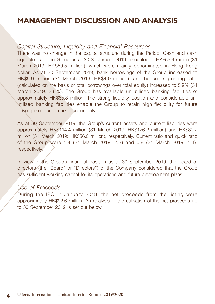#### Capital Structure, Liquidity and Financial Resources

There was no change in the capital structure during the Period. Cash and cash equivalents of the Group as at 30 September 2019 amounted to HK\$55.4 million (31 March 2019: HK\$59.5 million), which were mainly denominated in Hong Kong dollar. As at 30 September 2019, bank borrowings of the Group increased to HK\$5.9 million (31 March 2019: HK\$4.0 million), and hence its gearing ratio (calculated on the basis of total borrowings over total equity) increased to 5.9% (31 March 2019: 3.6%). The Group has available un-utilised banking facilities of approximately HK\$85.3 million. The strong liquidity position and considerable unutilised banking facilities enable the Group to retain high flexibility for future development and market uncertainty.

As at 30 September 2019, the Group's current assets and current liabilities were approximately HK\$114.4 million (31 March 2019: HK\$126.2 million) and HK\$80.2 million (31 March 2019: HK\$56.0 million), respectively. Current ratio and quick ratio of the Group were 1.4 (31 March 2019: 2.3) and 0.8 (31 March 2019: 1.4), respectively.

In view of the Group's financial position as at 30 September 2019, the board of directors (the "Board" or "Directors") of the Company considered that the Group has sufficient working capital for its operations and future development plans.

#### Use of Proceeds

During the IPO in January 2018, the net proceeds from the listing were approximately HK\$92.6 million. An analysis of the utilisation of the net proceeds up to 30 September 2019 is set out below: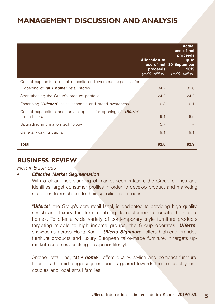|                                                                                           | <b>Allocation of</b><br>proceeds<br>(HK\$ million) | <b>Actual</b><br>use of net<br>proceeds<br>up to<br>use of net 30 September<br>2019<br>(HK\$ million) |
|-------------------------------------------------------------------------------------------|----------------------------------------------------|-------------------------------------------------------------------------------------------------------|
| Capital expenditure, rental deposits and overhead expenses for                            |                                                    |                                                                                                       |
| opening of "at • home" retail stores                                                      | 34.2                                               | 31.0                                                                                                  |
| Strengthening the Group's product portfolio                                               | 24.2                                               | 24.2                                                                                                  |
| Enhancing " <b>Ulfenbo</b> " sales channels and brand awareness                           | 10.3                                               | 10.1                                                                                                  |
| Capital expenditure and rental deposits for opening of " <b>Ulferts</b> "<br>retail store | 9.1                                                | 8.5                                                                                                   |
| Upgrading information technology                                                          | 5.7                                                |                                                                                                       |
| General working capital                                                                   | 9.1                                                | 9.1                                                                                                   |
| Total                                                                                     | 92.6                                               | 82.9                                                                                                  |

#### **BUSINESS REVIEW**

#### Retail Business

#### **• Effective Market Segmentation**

With a clear understanding of market segmentation, the Group defines and identifies target consumer profiles in order to develop product and marketing strategies to reach out to their specific preferences.

"**Ulferts**", the Group's core retail label, is dedicated to providing high quality, stylish and luxury furniture, enabling its customers to create their ideal homes. To offer a wide variety of contemporary style furniture products targeting middle to high income groups, the Group operates "**Ulferts**" showrooms across Hong Kong. "**Ulferts Signature**" offers high-end branded furniture products and luxury European tailor-made furniture. It targets upmarket customers seeking a superior lifestyle.

 Another retail line, "**at • home**", offers quality, stylish and compact furniture. It targets the mid-range segment and is geared towards the needs of young couples and local small families.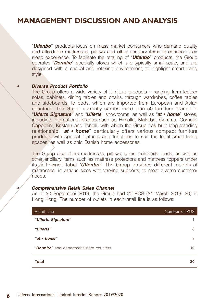"**Ulfenbo**" products focus on mass market consumers who demand quality and affordable mattresses, pillows and other ancillary items to enhance their sleep experience. To facilitate the retailing of "**Ulfenbo**" products, the Group operates "**Dormire**" specialty stores which are typically small-scale, and are designed with a casual and relaxing environment, to highlight smart living style.

#### **• Diverse Product Portfolio**

 The Group offers a wide variety of furniture products – ranging from leather sofas, cabinets, dining tables and chairs, through wardrobes, coffee tables and sideboards, to beds, which are imported from European and Asian countries. The Group currently carries more than 50 furniture brands in "**Ulferts Signature**" and "**Ulferts**" showrooms, as well as "**at • home**" stores, including international brands such as Himolla, Malerba, Gamma, Cornelio Cappellini, Kristalia and Tonelli, with which the Group has built long-standing relationship. "**at • home**" particularly offers various compact furniture products with special features and functions to suit the local small living spaces, as well as chic Danish home accessories.

 The Group also offers mattresses, pillows, sofas, sofabeds, beds, as well as other ancillary items such as mattress protectors and mattress toppers under its self-owned label "**Ulfenbo**". The Group provides different models of mattresses, in various sizes with varying supports, to meet diverse customer needs.

#### **• Comprehensive Retail Sales Channel**

 As at 30 September 2019, the Group had 20 POS (31 March 2019: 20) in Hong Kong. The number of outlets in each retail line is as follows:

| <b>Retail Line</b>                               | Number of POS |
|--------------------------------------------------|---------------|
| "Ulferts Signature"                              |               |
| "Ulferts"                                        | 6             |
| "at $\cdot$ home"                                | 3             |
| " <b>Dormire</b> " and department store counters | 10            |
| <b>Total</b>                                     | 20            |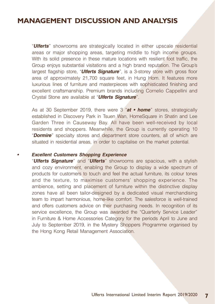"**Ulferts**" showrooms are strategically located in either upscale residential areas or major shopping areas, targeting middle to high income groups. With its solid presence in these mature locations with resilient foot traffic, the Group enjoys substantial visitations and a high brand reputation. The Group's largest flagship store, "**Ulferts Signature**", is a 3-storey store with gross floor area of approximately 21,700 square feet, in Hung Hom. It features more luxurious lines of furniture and masterpieces with sophisticated finishing and excellent craftsmanship. Premium brands including Cornelio Cappellini and Crystal Stone are available at "**Ulferts Signature**".

As at 30 September 2019, there were 3 "**at • home**" stores, strategically established in Discovery Park in Tsuen Wan, HomeSquare in Shatin and Lee Garden Three in Causeway Bay. All have been well-received by local residents and shoppers. Meanwhile, the Group is currently operating 10 "**Dormire**" specialty stores and department store counters, all of which are situated in residential areas, in order to capitalise on the market potential.

#### **• Excellent Customers Shopping Experience**

"**Ulferts Signature**" and "**Ulferts**" showrooms are spacious, with a stylish and cozy environment, enabling the Group to display a wide spectrum of products for customers to touch and feel the actual furniture, its colour tones and the texture, to maximise customers' shopping experience. The ambience, setting and placement of furniture within the distinctive display zones have all been tailor-designed by a dedicated visual merchandising team to impart harmonious, home-like comfort. The salesforce is well-trained and offers customers advice on their purchasing needs. In recognition of its service excellence, the Group was awarded the "Quarterly Service Leader" in Furniture & Home Accessories Category for the periods April to June and July to September 2019, in the Mystery Shoppers Programme organised by the Hong Kong Retail Management Association.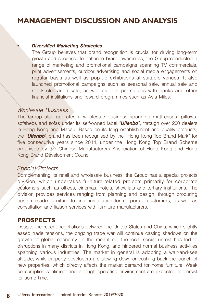#### **• Diversified Marketing Strategies**

The Group believes that brand recognition is crucial for driving long-term growth and success. To enhance brand awareness, the Group conducted a range of marketing and promotional campaigns spanning TV commercials, print advertisements, outdoor advertising and social media engagements on regular basis as well as pop-up exhibitions at suitable venues. It also launched promotional campaigns such as seasonal sale, annual sale and stock clearance sale, as well as joint promotions with banks and other financial institutions and reward programmes such as Asia Miles.

#### Wholesale Business

The Group also operates a wholesale business spanning mattresses, pillows, sofabeds and sofas under its self-owned label "**Ulfenbo**", through over 200 dealers in Hong Kong and Macau. Based on its long establishment and quality products, the "**Ulfenbo**" brand has been recognised by the "Hong Kong Top Brand Mark" for five consecutive years since 2014, under the Hong Kong Top Brand Scheme organised by the Chinese Manufacturers Association of Hong Kong and Hong Kong Brand Development Council.

#### Special Projects

Complementing its retail and wholesale business, the Group has a special projects division, which undertakes furniture-related projects primarily for corporate customers such as offices, cinemas, hotels, showflats and tertiary institutions. The division provides services ranging from planning and design, through procuring custom-made furniture to final installation for corporate customers, as well as consultation and liaison services with furniture manufacturers.

#### **PROSPECTS**

 attitude, while property developers are slowing down or pushing back the launch of Despite the recent negotiations between the United States and China, which slightly eased trade tensions, the ongoing trade war will continue casting shadows on the growth of global economy. In the meantime, the local social unrest has led to disruptions in many districts in Hong Kong, and hindered normal business activities spanning various industries. The market in general is adopting a wait-and-see new properties, which directly affects the market demand for home furniture. Weak consumption sentiment and a tough operating environment are expected to persist for some time.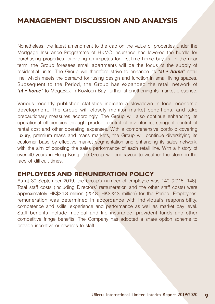Nonetheless, the latest amendment to the cap on the value of properties under the Mortgage Insurance Programme of HKMC Insurance has lowered the hurdle for purchasing properties, providing an impetus for first-time home buyers. In the near term, the Group foresees small apartments will be the focus of the supply of residential units. The Group will therefore strive to enhance its "**at • home**" retail line, which meets the demand for fusing design and function in small living spaces. Subsequent to the Period, the Group has expanded the retail network of "**at • home**" to MegaBox in Kowloon Bay, further strengthening its market presence.

Various recently published statistics indicate a slowdown in local economic development. The Group will closely monitor market conditions, and take precautionary measures accordingly. The Group will also continue enhancing its operational efficiencies through prudent control of inventories, stringent control of rental cost and other operating expenses. With a comprehensive portfolio covering luxury, premium mass and mass markets, the Group will continue diversifying its customer base by effective market segmentation and enhancing its sales network, with the aim of boosting the sales performance of each retail line. With a history of over 40 years in Hong Kong, the Group will endeavour to weather the storm in the face of difficult times.

#### **EMPLOYEES AND REMUNERATION POLICY**

As at 30 September 2019, the Group's number of employee was 140 (2018: 146). Total staff costs (including Directors' remuneration and the other staff costs) were approximately HK\$24.3 million (2018: HK\$22.3 million) for the Period. Employees' remuneration was determined in accordance with individual's responsibility, competence and skills, experience and performance as well as market pay level. Staff benefits include medical and life insurance, provident funds and other competitive fringe benefits. The Company has adopted a share option scheme to provide incentive or rewards to staff.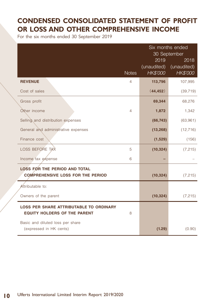## **CONDENSED CONSOLIDATED STATEMENT OF PROFIT OR LOSS AND OTHER COMPREHENSIVE INCOME**

For the six months ended 30 September 2019

|                                                                                       |                | Six months ended<br>30 September<br>2019<br>2018 |                         |
|---------------------------------------------------------------------------------------|----------------|--------------------------------------------------|-------------------------|
|                                                                                       | <b>Notes</b>   | (unaudited)<br>HK\$'000                          | (unaudited)<br>HK\$'000 |
| <b>REVENUE</b>                                                                        | $\overline{4}$ | 113,796                                          | 107,995                 |
| Cost of sales                                                                         |                | (44, 452)                                        | (39, 719)               |
| Gross profit                                                                          |                | 69,344                                           | 68,276                  |
| Other income                                                                          | 4              | 1,872                                            | 1,342                   |
| Selling and distribution expenses                                                     |                | (66, 743)                                        | (63,961)                |
| General and administrative expenses                                                   |                | (13, 268)                                        | (12, 716)               |
| Finance cost                                                                          |                | (1,529)                                          | (156)                   |
| <b>LOSS BEFORE TAX</b>                                                                | 5              | (10, 324)                                        | (7, 215)                |
| Income tax expense                                                                    | 6              |                                                  |                         |
| <b>LOSS FOR THE PERIOD AND TOTAL</b><br><b>COMPREHENSIVE LOSS FOR THE PERIOD</b>      |                | (10, 324)                                        | (7, 215)                |
|                                                                                       |                |                                                  |                         |
| Attributable to:                                                                      |                |                                                  |                         |
| Owners of the parent                                                                  |                | (10, 324)                                        | (7, 215)                |
| <b>LOSS PER SHARE ATTRIBUTABLE TO ORDINARY</b><br><b>EQUITY HOLDERS OF THE PARENT</b> | 8              |                                                  |                         |
| Basic and diluted loss per share<br>(expressed in HK cents)                           |                | (1.29)                                           | (0.90)                  |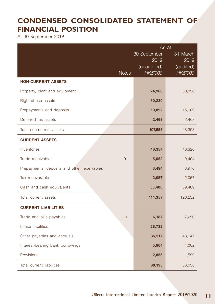## **CONDENSED CONSOLIDATED STATEMENT OF FINANCIAL POSITION**

At 30 September 2019

|                                             | As at                |                  |
|---------------------------------------------|----------------------|------------------|
|                                             | 30 September<br>2019 | 31 March<br>2019 |
|                                             | (unaudited)          | (audited)        |
| <b>Notes</b>                                | HK\$'000             | HK\$'000         |
| <b>NON-CURRENT ASSETS</b>                   |                      |                  |
| Property, plant and equipment               | 24,968               | 30,826           |
| Right-of-use assets                         | 60,230               |                  |
| Prepayments and deposits                    | 19,892               | 15,009           |
| Deferred tax assets                         | 2,468                | 2,468            |
| Total non-current assets                    | 107,558              | 48,303           |
| <b>CURRENT ASSETS</b>                       |                      |                  |
| Inventories                                 | 48,354               | 46,326           |
| Trade receivables<br>9                      | 5,052                | 9,404            |
| Prepayments, deposits and other receivables | 3,494                | 8,976            |
| Tax recoverable                             | 2,057                | 2,057            |
| Cash and cash equivalents                   | 55,400               | 59,469           |
| Total current assets                        | 114,357              | 126,232          |
| <b>CURRENT LIABILITIES</b>                  |                      |                  |
| 10<br>Trade and bills payables              | 6,187                | 7,290            |
| Lease liabilities                           | 28,732               |                  |
| Other payables and accruals                 | 36,517               | 43,147           |
| Interest-bearing bank borrowings            | 5,904                | 4,002            |
| Provisions                                  | 2,855                | 1,599            |
| Total current liabilities                   | 80,195               | 56,038           |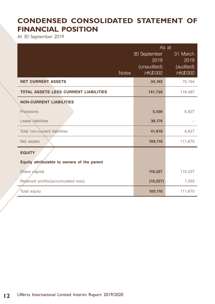## **CONDENSED CONSOLIDATED STATEMENT OF FINANCIAL POSITION**

At 30 September 2019

|                                              | As at                          |                       |  |
|----------------------------------------------|--------------------------------|-----------------------|--|
|                                              | 30 September                   | 31 March              |  |
|                                              | 2019                           | 2019                  |  |
| <b>Notes</b>                                 | (unaudited)<br><b>HK\$'000</b> | (audited)<br>HK\$'000 |  |
| <b>NET CURRENT ASSETS</b>                    | 34,162                         | 70,194                |  |
| <b>TOTAL ASSETS LESS CURRENT LIABILITIES</b> | 141,720                        | 118,497               |  |
| <b>NON-CURRENT LIABILITIES</b>               |                                |                       |  |
| Provisions                                   | 5,436                          | 6,827                 |  |
| Lease liabilities                            | 36,174                         |                       |  |
| Total non-current liabilities                | 41,610                         | 6,827                 |  |
| Net assets                                   | 100,110                        | 111,670               |  |
| <b>EQUITY</b>                                |                                |                       |  |
| Equity attributable to owners of the parent  |                                |                       |  |
| Share capital                                | 110,337                        | 110,337               |  |
| Retained profits/(accumulated loss)          | (10, 227)                      | 1,333                 |  |
| Total equity                                 | 100,110                        | 111,670               |  |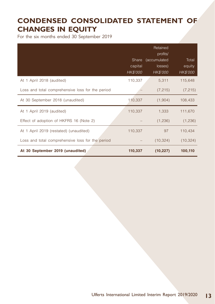## **CONDENSED CONSOLIDATED STATEMENT OF CHANGES IN EQUITY**

For the six months ended 30 September 2019

|                                                  | Share<br>capital<br><b>HK\$'000</b> | Retained<br>profits/<br>(accumulated<br>losses)<br>HK\$'000 | Total<br>equity<br>HK\$'000 |
|--------------------------------------------------|-------------------------------------|-------------------------------------------------------------|-----------------------------|
| At 1 April 2018 (audited)                        | 110,337                             | 5,311                                                       | 115,648                     |
| Loss and total comprehensive loss for the period |                                     | (7, 215)                                                    | (7, 215)                    |
| At 30 September 2018 (unaudited)                 | 110,337                             | (1,904)                                                     | 108,433                     |
| At 1 April 2019 (audited)                        | 110,337                             | 1,333                                                       | 111,670                     |
| Effect of adoption of HKFRS 16 (Note 2)          |                                     | (1,236)                                                     | (1,236)                     |
| At 1 April 2019 (restated) (unaudited)           | 110,337                             | 97                                                          | 110,434                     |
| Loss and total comprehensive loss for the period |                                     | (10, 324)                                                   | (10, 324)                   |
| At 30 September 2019 (unaudited)                 | 110,337                             | (10, 227)                                                   | 100,110                     |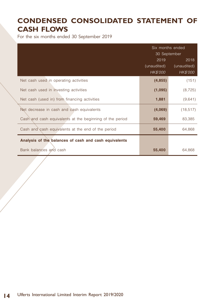## **CONDENSED CONSOLIDATED STATEMENT OF CASH FLOWS**

For the six months ended 30 September 2019

|                                                          | Six months ended<br>30 September       |                                 |
|----------------------------------------------------------|----------------------------------------|---------------------------------|
|                                                          | 2019<br>(unaudited)<br><b>HK\$'000</b> | 2018<br>(unaudited)<br>HK\$'000 |
| Net cash used in operating activities                    | (4, 855)                               | (151)                           |
| Net cash used in investing activities                    | (1,095)                                | (8, 725)                        |
| Net cash (used in) from financing activities             | 1,881                                  | (9,641)                         |
| Net decrease in cash and cash equivalents                | (4,069)                                | (18, 517)                       |
| Cash and cash equivalents at the beginning of the period | 59,469                                 | 83,385                          |
| Cash and cash equivalents at the end of the period       | 55,400                                 | 64,868                          |
| Analysis of the balances of cash and cash equivalents    |                                        |                                 |
| Bank balances and cash                                   | 55,400                                 | 64,868                          |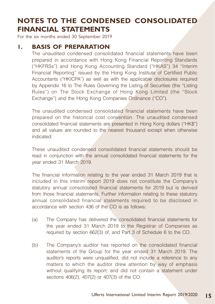For the six months ended 30 September 2019

#### **1. BASIS OF PREPARATION**

The unaudited condensed consolidated financial statements have been prepared in accordance with Hong Kong Financial Reporting Standards ("HKFRSs") and Hong Kong Accounting Standard ("HKAS") 34 "Interim Financial Reporting" issued by the Hong Kong Institute of Certified Public Accountants ("HKICPA") as well as with the applicable disclosures required by Appendix 16 to The Rules Governing the Listing of Securities (the "Listing Rules") on The Stock Exchange of Hong Kong Limited (the "Stock Exchange") and the Hong Kong Companies Ordinance ("CO").

The unaudited condensed consolidated financial statements have been prepared on the historical cost convention. The unaudited condensed consolidated financial statements are presented in Hong Kong dollars ("HK\$") and all values are rounded to the nearest thousand except when otherwise indicated.

These unaudited condensed consolidated financial statements should be read in conjunction with the annual consolidated financial statements for the year ended 31 March 2019.

The financial information relating to the year ended 31 March 2019 that is included in this interim report 2019 does not constitute the Company's statutory annual consolidated financial statements for 2019 but is derived from those financial statements. Further information relating to these statutory annual consolidated financial statements required to be disclosed in accordance with section 436 of the CO is as follows:

- (a) The Company has delivered the consolidated financial statements for the year ended 31 March 2019 to the Registrar of Companies as required by section 662(3) of, and Part 3 of Schedule 6 to the CO.
- (b) The Company's auditor has reported on the consolidated financial statements of the Group for the year ended 31 March 2019. The auditor's reports were unqualified, did not include a reference to any matters to which the auditor drew attention by way of emphasis without qualifying its report; and did not contain a statement under sections 406(2), 407(2) or 407(3) of the CO.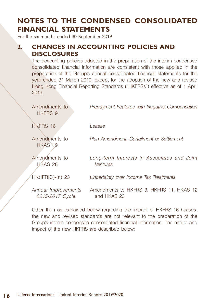For the six months ended 30 September 2019

### **2. CHANGES IN ACCOUNTING POLICIES AND DISCLOSURES**

The accounting policies adopted in the preparation of the interim condensed consolidated financial information are consistent with those applied in the preparation of the Group's annual consolidated financial statements for the year ended 31 March 2019, except for the adoption of the new and revised Hong Kong Financial Reporting Standards ("HKFRSs") effective as of 1 April 2019.

| Amendments to<br><b>HKFRS 9</b>        | Prepayment Features with Negative Compensation                 |
|----------------------------------------|----------------------------------------------------------------|
| HKFRS 16                               | Leases                                                         |
| Amendments to<br>HKAS 19               | Plan Amendment, Curtailment or Settlement                      |
| Amendments to<br>HKAS 28               | Long-term Interests in Associates and Joint<br><b>Ventures</b> |
| HK(IFRIC)-Int 23                       | Uncertainty over Income Tax Treatments                         |
| Annual Improvements<br>2015-2017 Cycle | Amendments to HKFRS 3, HKFRS 11, HKAS 12<br>and HKAS 23        |

Other than as explained below regarding the impact of HKFRS 16 Leases, the new and revised standards are not relevant to the preparation of the Group's interim condensed consolidated financial information. The nature and impact of the new HKFRS are described below: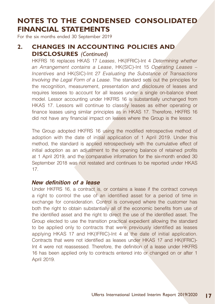For the six months ended 30 September 2019

### **2. CHANGES IN ACCOUNTING POLICIES AND DISCLOSURES** *(Continued)*

HKFRS 16 replaces HKAS 17 Leases, HK(IFRIC)-Int 4 Determining whether an Arrangement contains a Lease, HK(SIC)-Int 15 Operating Leases – Incentives and HK(SIC)-Int 27 Evaluating the Substance of Transactions Involving the Legal Form of a Lease. The standard sets out the principles for the recognition, measurement, presentation and disclosure of leases and requires lessees to account for all leases under a single on-balance sheet model. Lessor accounting under HKFRS 16 is substantially unchanged from HKAS 17. Lessors will continue to classify leases as either operating or finance leases using similar principles as in HKAS 17. Therefore, HKFRS 16 did not have any financial impact on leases where the Group is the lessor.

The Group adopted HKFRS 16 using the modified retrospective method of adoption with the date of initial application of 1 April 2019. Under this method, the standard is applied retrospectively with the cumulative effect of initial adoption as an adjustment to the opening balance of retained profits at 1 April 2019, and the comparative information for the six-month ended 30 September 2018 was not restated and continues to be reported under HKAS 17.

#### **New definition of a lease**

Under HKFRS 16, a contract is, or contains a lease if the contract conveys a right to control the use of an identified asset for a period of time in exchange for consideration. Control is conveyed where the customer has both the right to obtain substantially all of the economic benefits from use of the identified asset and the right to direct the use of the identified asset. The Group elected to use the transition practical expedient allowing the standard to be applied only to contracts that were previously identified as leases applying HKAS 17 and HK(IFRIC)-Int 4 at the date of initial application. Contracts that were not identified as leases under HKAS 17 and HK(IFRIC)- Int 4 were not reassessed. Therefore, the definition of a lease under HKFRS 16 has been applied only to contracts entered into or changed on or after 1 April 2019.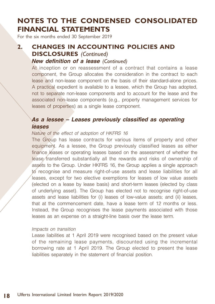For the six months ended 30 September 2019

### **2. CHANGES IN ACCOUNTING POLICIES AND DISCLOSURES** *(Continued)* **New definition of a lease** *(Continued)*

At inception or on reassessment of a contract that contains a lease component, the Group allocates the consideration in the contract to each lease and non-lease component on the basis of their standard-alone prices. A practical expedient is available to a lessee, which the Group has adopted, not to separate non-lease components and to account for the lease and the associated non-lease components (e.g., property management services for leases of properties) as a single lease component.

#### **As a lessee – Leases previously classified as operating leases**

#### Nature of the effect of adoption of HKFRS 16

The Group has lease contracts for various items of property and other equipment. As a lessee, the Group previously classified leases as either finance leases or operating leases based on the assessment of whether the lease transferred substantially all the rewards and risks of ownership of assets to the Group. Under HKFRS 16, the Group applies a single approach to recognise and measure right-of-use assets and lease liabilities for all leases, except for two elective exemptions for leases of low value assets (elected on a lease by lease basis) and short-term leases (elected by class of underlying asset). The Group has elected not to recognise right-of-use assets and lease liabilities for (i) leases of low-value assets; and (ii) leases, that at the commencement date, have a lease term of 12 months or less. Instead, the Group recognises the lease payments associated with those leases as an expense on a straight-line basis over the lease term.

#### Impacts on transition

Lease liabilities at 1 April 2019 were recognised based on the present value of the remaining lease payments, discounted using the incremental borrowing rate at 1 April 2019. The Group elected to present the lease liabilities separately in the statement of financial position.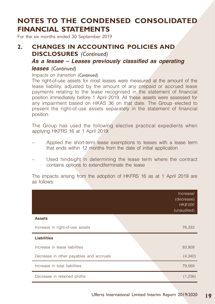For the six months ended 30 September 2019

### **2. CHANGES IN ACCOUNTING POLICIES AND DISCLOSURES** *(Continued)*

#### **As a lessee – Leases previously classified as operating**

#### **leases** *(Continued)*

#### Impacts on transition *(Continued)*

The right-of-use assets for most leases were measured at the amount of the lease liability, adjusted by the amount of any prepaid or accrued lease payments relating to the lease recognised in the statement of financial position immediately before 1 April 2019. All these assets were assessed for any impairment based on HKAS 36 on that date. The Group elected to present the right-of-use assets separately in the statement of financial position.

The Group has used the following elective practical expedients when applying HKFRS 16 at 1 April 2019:

- Applied the short-term lease exemptions to leases with a lease term that ends within 12 months from the date of initial application
- Used hindsight in determining the lease term where the contract contains options to extend/terminate the lease

The impacts arising from the adoption of HKFRS 16 as at 1 April 2019 are as follows:

|                                         | Increase/<br>(decrease)<br><b>HK\$'000</b><br>(unaudited) |
|-----------------------------------------|-----------------------------------------------------------|
| <b>Assets</b>                           |                                                           |
| Increase in right-of-use assets         | 78,333                                                    |
| <b>Liabilities</b>                      |                                                           |
| Increase in lease liabilities           | 83,909                                                    |
| Decrease in other payables and accruals | (4,340)                                                   |
| Increase in total liabilities           | 79,569                                                    |
| Decrease in retained profits            | (1,236)                                                   |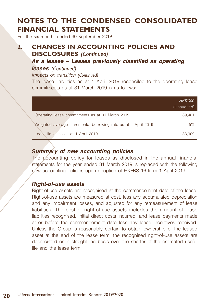For the six months ended 30 September 2019

### **2. CHANGES IN ACCOUNTING POLICIES AND DISCLOSURES** *(Continued)*

### **As a lessee – Leases previously classified as operating**

### **leases** *(Continued)*

Impacts on transition *(Continued)*

The lease liabilities as at 1 April 2019 reconciled to the operating lease commitments as at 31 March 2019 is as follows:

|                                                                | HK\$'000<br>(Unaudited) |
|----------------------------------------------------------------|-------------------------|
| Operating lease commitments as at 31 March 2019                | 89.481                  |
| Weighted average incremental borrowing rate as at 1 April 2019 | 5%                      |
| Lease liabilities as at 1 April 2019                           | 83.909                  |

#### **Summary of new accounting policies**

The accounting policy for leases as disclosed in the annual financial statements for the year ended 31 March 2019 is replaced with the following new accounting policies upon adoption of HKFRS 16 from 1 April 2019:

#### **Right-of-use assets**

Right-of-use assets are recognised at the commencement date of the lease. Right-of-use assets are measured at cost, less any accumulated depreciation and any impairment losses, and adjusted for any remeasurement of lease liabilities. The cost of right-of-use assets includes the amount of lease liabilities recognised, initial direct costs incurred, and lease payments made at or before the commencement date less any lease incentives received. Unless the Group is reasonably certain to obtain ownership of the leased asset at the end of the lease term, the recognised right-of-use assets are depreciated on a straight-line basis over the shorter of the estimated useful life and the lease term.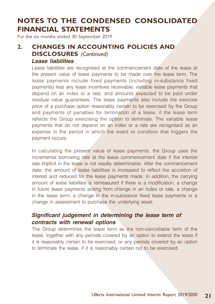For the six months ended 30 September 2019

### **2. CHANGES IN ACCOUNTING POLICIES AND DISCLOSURES** *(Continued)* **Lease liabilities**

Lease liabilities are recognised at the commencement date of the lease at the present value of lease payments to be made over the lease term. The lease payments include fixed payments (including in-substance fixed payments) less any lease incentives receivable, variable lease payments that depend on an index or a rate, and amounts expected to be paid under residual value guarantees. The lease payments also include the exercise price of a purchase option reasonably certain to be exercised by the Group and payments of penalties for termination of a lease, if the lease term reflects the Group exercising the option to terminate. The variable lease payments that do not depend on an index or a rate are recognised as an expense in the period in which the event or condition that triggers the payment occurs.

In calculating the present value of lease payments, the Group uses the incremental borrowing rate at the lease commencement date if the interest rate implicit in the lease is not readily determinable. After the commencement date, the amount of lease liabilities is increased to reflect the accretion of interest and reduced for the lease payments made. In addition, the carrying amount of lease liabilities is remeasured if there is a modification, a change in future lease payments arising from change in an index or rate, a change in the lease term, a change in the in-substance fixed lease payments or a change in assessment to purchase the underlying asset.

#### **Significant judgement in determining the lease term of contracts with renewal options**

The Group determines the lease term as the non-cancellable term of the lease, together with any periods covered by an option to extend the lease if it is reasonably certain to be exercised, or any periods covered by an option to terminate the lease, if it is reasonably certain not to be exercised.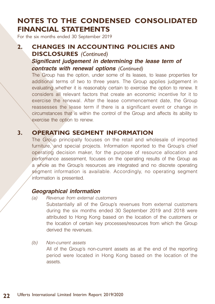For the six months ended 30 September 2019

### **2. CHANGES IN ACCOUNTING POLICIES AND DISCLOSURES** *(Continued)* **Significant judgement in determining the lease term of contracts with renewal options** *(Continued)*

The Group has the option, under some of its leases, to lease properties for additional terms of two to three years. The Group applies judgement in evaluating whether it is reasonably certain to exercise the option to renew. It considers all relevant factors that create an economic incentive for it to exercise the renewal. After the lease commencement date, the Group reassesses the lease term if there is a significant event or change in circumstances that is within the control of the Group and affects its ability to exercise the option to renew.

### **3. OPERATING SEGMENT INFORMATION**

The Group principally focuses on the retail and wholesale of imported furniture, and special projects. Information reported to the Group's chief operating decision maker, for the purpose of resource allocation and performance assessment, focuses on the operating results of the Group as a whole as the Group's resources are integrated and no discrete operating segment information is available. Accordingly, no operating segment information is presented.

#### **Geographical information**

- (a) Revenue from external customers Substantially all of the Group's revenues from external customers during the six months ended 30 September 2019 and 2018 were attributed to Hong Kong based on the location of the customers or the location of certain key processes/resources from which the Group derived the revenues.
- (b) Non-current assets All of the Group's non-current assets as at the end of the reporting period were located in Hong Kong based on the location of the assets.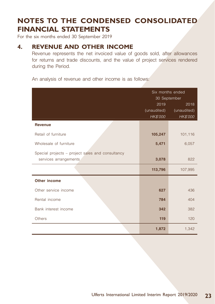For the six months ended 30 September 2019

### **4. REVENUE AND OTHER INCOME**

Revenue represents the net invoiced value of goods sold, after allowances for returns and trade discounts, and the value of project services rendered during the Period.

An analysis of revenue and other income is as follows:

|                                                                           | Six months ended<br>30 September |                                 |
|---------------------------------------------------------------------------|----------------------------------|---------------------------------|
|                                                                           | 2019<br>(unaudited)<br>HK\$'000  | 2018<br>(unaudited)<br>HK\$'000 |
| <b>Revenue</b>                                                            |                                  |                                 |
| Retail of furniture                                                       | 105,247                          | 101,116                         |
| Wholesale of furniture                                                    | 5,471                            | 6,057                           |
| Special projects – project sales and consultancy<br>services arrangements | 3,078                            | 822                             |
|                                                                           | 113,796                          | 107,995                         |
| Other income                                                              |                                  |                                 |
| Other service income                                                      | 627                              | 436                             |
| Rental income                                                             | 784                              | 404                             |
| Bank interest income                                                      | 342                              | 382                             |
| Others                                                                    | 119                              | 120                             |
|                                                                           | 1,872                            | 1,342                           |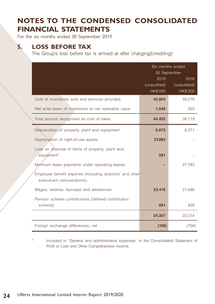For the six months ended 30 September 2019

### **5. LOSS BEFORE TAX**

The Group's loss before tax is arrived at after charging/(crediting):

|                                                                                         | Six months ended<br>30 September<br>2019<br>(unaudited)<br><b>HK\$'000</b> | 2018<br>(unaudited)<br>HK\$'000 |
|-----------------------------------------------------------------------------------------|----------------------------------------------------------------------------|---------------------------------|
| Cost of inventories sold and services provided                                          | 42,804                                                                     | 39,216                          |
| Net write-down of inventories to net realisable value                                   | 1,648                                                                      | 503                             |
| Total amount recognised as cost of sales                                                | 44,452                                                                     | 39,719                          |
| Depreciation of property, plant and equipment                                           | 6,672                                                                      | 6,271                           |
| Depreciation of right-of-use assets                                                     | 27,883                                                                     |                                 |
| Loss on disposal of items of property, plant and<br>equipment*                          | 281                                                                        |                                 |
| Minimum lease payments under operating leases                                           |                                                                            | 27,783                          |
| Employee benefit expense (including directors' and chief<br>executive's remunerations): |                                                                            |                                 |
| Wages, salaries, bonuses and allowances                                                 | 23,416                                                                     | 21,486                          |
| Pension scheme contributions (defined contribution<br>scheme)                           | 891                                                                        | 828                             |
|                                                                                         | 24,307                                                                     | 22,314                          |
| Foreign exchange differences, net                                                       | (106)                                                                      | (756)                           |

Included in "General and administrative expenses" in the Consolidated Statement of Profit or Loss and Other Comprehensive Income.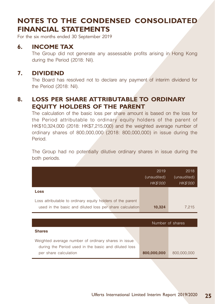For the six months ended 30 September 2019

#### **6. INCOME TAX**

The Group did not generate any assessable profits arising in Hong Kong during the Period (2018: Nil).

### **7. DIVIDEND**

The Board has resolved not to declare any payment of interim dividend for the Period (2018: Nil).

### **8. LOSS PER SHARE ATTRIBUTABLE TO ORDINARY EQUITY HOLDERS OF THE PARENT**

The calculation of the basic loss per share amount is based on the loss for the Period attributable to ordinary equity holders of the parent of HK\$10,324,000 (2018: HK\$7,215,000) and the weighted average number of ordinary shares of 800,000,000 (2018: 800,000,000) in issue during the Period.

The Group had no potentially dilutive ordinary shares in issue during the both periods.

|                                                                                                                        | 2019<br>(unaudited)<br>HK\$'000 | 2018<br>(unaudited)<br>HK\$'000 |
|------------------------------------------------------------------------------------------------------------------------|---------------------------------|---------------------------------|
| Loss                                                                                                                   |                                 |                                 |
| Loss attributable to ordinary equity holders of the parent<br>used in the basic and diluted loss per share calculation | 10,324                          | 7,215                           |
|                                                                                                                        |                                 |                                 |
|                                                                                                                        |                                 |                                 |
|                                                                                                                        |                                 | Number of shares                |
| <b>Shares</b>                                                                                                          |                                 |                                 |
| Weighted average number of ordinary shares in issue<br>during the Period used in the basic and diluted loss            |                                 |                                 |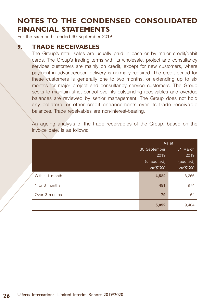For the six months ended 30 September 2019

#### **9. TRADE RECEIVABLES**

The Group's retail sales are usually paid in cash or by major credit/debit cards. The Group's trading terms with its wholesale, project and consultancy services customers are mainly on credit, except for new customers, where payment in advance/upon delivery is normally required. The credit period for these customers is generally one to two months, or extending up to six months for major project and consultancy service customers. The Group seeks to maintain strict control over its outstanding receivables and overdue balances are reviewed by senior management. The Group does not hold any collateral or other credit enhancements over its trade receivable balances. Trade receivables are non-interest-bearing.

An ageing analysis of the trade receivables of the Group, based on the invoice date, is as follows:

|                | As at                    |           |
|----------------|--------------------------|-----------|
|                | 30 September<br>31 March |           |
|                | 2019                     | 2019      |
|                | (unaudited)              | (audited) |
|                | HK\$'000                 | HK\$'000  |
| Within 1 month | 4,522                    | 8,266     |
| 1 to 3 months  | 451                      | 974       |
| Over 3 months  | 79                       | 164       |
|                | 5,052                    | 9,404     |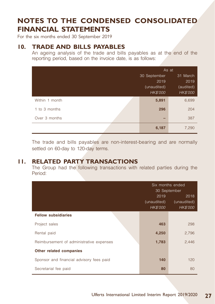For the six months ended 30 September 2019

#### **10. TRADE AND BILLS PAYABLES**

An ageing analysis of the trade and bills payables as at the end of the reporting period, based on the invoice date, is as follows:

|                | As at        |           |  |
|----------------|--------------|-----------|--|
|                | 30 September | 31 March  |  |
|                | 2019         | 2019      |  |
|                | (unaudited)  | (audited) |  |
|                | HK\$'000     | HK\$'000  |  |
| Within 1 month | 5,891        | 6,699     |  |
| 1 to 3 months  | 296          | 204       |  |
| Over 3 months  | -            | 387       |  |
|                | 6,187        | 7,290     |  |

The trade and bills payables are non-interest-bearing and are normally settled on 60-day to 120-day terms.

#### **11. RELATED PARTY TRANSACTIONS**

The Group had the following transactions with related parties during the Period:

|                                          | Six months ended<br>30 September |                                 |
|------------------------------------------|----------------------------------|---------------------------------|
|                                          | 2019<br>(unaudited)<br>HK\$'000  | 2018<br>(unaudited)<br>HK\$'000 |
| <b>Fellow subsidiaries</b>               |                                  |                                 |
| Project sales                            | 463                              | 298                             |
| Rental paid                              | 4,250                            | 2,796                           |
| Reimbursement of administrative expenses | 1,783                            | 2,446                           |
| Other related companies                  |                                  |                                 |
| Sponsor and financial advisory fees paid | 140                              | 120                             |
| Secretarial fee paid                     | 80                               | 80                              |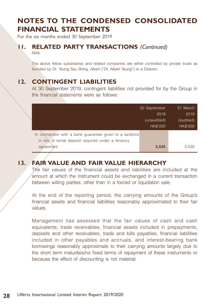For the six months ended 30 September 2019

#### **11. RELATED PARTY TRANSACTIONS** *(Continued)*

Note:

The above fellow subsidiaries and related companies are either controlled by private trusts as founded by Dr. Yeung Sau Shing, Albert ("Dr. Albert Yeung") or a Director.

### **12. CONTINGENT LIABILITIES**

At 30 September 2019, contingent liabilities not provided for by the Group in the financial statements were as follows:

|                                                         | 30 September    | 31 March        |
|---------------------------------------------------------|-----------------|-----------------|
|                                                         | 2019            | 2019            |
|                                                         | (unaudited)     | (audited)       |
|                                                         | <b>HK\$'000</b> | <b>HK\$'000</b> |
| In connection with a bank guarantee given to a landlord |                 |                 |
| in lieu of rental deposit required under a tenancy      |                 |                 |
| agreement                                               | 2,535           | 2,535           |

### **13. FAIR VALUE AND FAIR VALUE HIERARCHY**

The fair values of the financial assets and liabilities are included at the amount at which the instrument could be exchanged in a current transaction between willing parties, other than in a forced or liquidation sale.

At the end of the reporting period, the carrying amounts of the Group's financial assets and financial liabilities reasonably approximated to their fair values.

Management has assessed that the fair values of cash and cash equivalents, trade receivables, financial assets included in prepayments, deposits and other receivables, trade and bills payables, financial liabilities included in other payables and accruals, and interest-bearing bank borrowings reasonably approximate to their carrying amounts largely due to the short term maturities/no fixed terms of repayment of these instruments or because the effect of discounting is not material.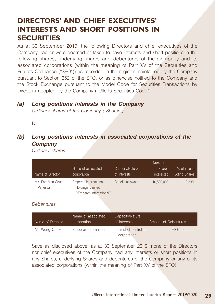## **DIRECTORS' AND CHIEF EXECUTIVES' INTERESTS AND SHORT POSITIONS IN SECURITIES**

As at 30 September 2019, the following Directors and chief executives of the Company had or were deemed or taken to have interests and short positions in the following shares, underlying shares and debentures of the Company and its associated corporations (within the meaning of Part XV of the Securities and Futures Ordinance ("SFO")) as recorded in the register maintained by the Company pursuant to Section 352 of the SFO, or as otherwise notified to the Company and the Stock Exchange pursuant to the Model Code for Securities Transactions by Directors adopted by the Company ("Ulferts Securities Code"):

#### **(a) Long positions interests in the Company**

Ordinary shares of the Company ("Shares")

Nil

### **(b) Long positions interests in associated corporations of the Company**

Ordinary shares

| Name of Director              | Name of associated.<br>corporation                                            | Capacity/Nature<br>of interests | Number of<br><b>Shares</b><br>interested | % of issued<br>voting Shares |
|-------------------------------|-------------------------------------------------------------------------------|---------------------------------|------------------------------------------|------------------------------|
| Ms. Fan Man Seung,<br>Vanessa | Emperor International<br><b>Holdings Limited</b><br>("Emperor International") | Beneficial owner                | 10.500.000                               | 0.29%                        |

#### Debentures

| Name of Director | Name of associated<br>corporation | Capacity/Nature<br>of interests       | Amount of Debentures held |
|------------------|-----------------------------------|---------------------------------------|---------------------------|
| Mr. Wong Chi Fai | Emperor International             | Interest of controlled<br>corporation | HK\$2,000,000             |

Save as disclosed above, as at 30 September 2019, none of the Directors nor chief executives of the Company had any interests or short positions in any Shares, underlying Shares and debentures of the Company or any of its associated corporations (within the meaning of Part XV of the SFO).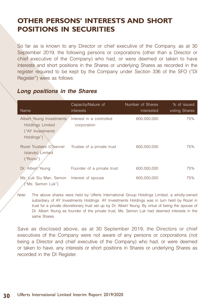## **OTHER PERSONS' INTERESTS AND SHORT POSITIONS IN SECURITIES**

So far as is known to any Director or chief executive of the Company, as at 30 September 2019, the following persons or corporations (other than a Director or chief executive of the Company) who had, or were deemed or taken to have interests and short positions in the Shares or underlying Shares as recorded in the register required to be kept by the Company under Section 336 of the SFO ("DI Register") were as follows:

| Name                                                                                    | Capacity/Nature of<br>interests         | Number of Shares<br>interested | % of issued<br>voting Shares |
|-----------------------------------------------------------------------------------------|-----------------------------------------|--------------------------------|------------------------------|
| Albert Yeung Investments<br><b>Holdings Limited</b><br>("AY Investments")<br>Holdings") | Interest in a controlled<br>corporation | 600,000,000                    | 75%                          |
| Rozel Trustees (Channel<br>Islands) Limited<br>("Rozel")                                | Trustee of a private trust              | 600,000,000                    | 75%                          |
| Dr. Albert Yeung                                                                        | Founder of a private trust              | 600,000,000                    | 75%                          |
| Ms. Luk Siu Man, Semon<br>("Ms. Semon Luk")                                             | Interest of spouse                      | 600,000,000                    | 75%                          |

### **Long positions in the Shares**

Note: The above shares were held by Ulferts International Group Holdings Limited, a wholly-owned subsidiary of AY Investments Holdings. AY Investments Holdings was in turn held by Rozel in trust for a private discretionary trust set up by Dr. Albert Yeung. By virtue of being the spouse of Dr. Albert Yeung as founder of the private trust, Ms. Semon Luk had deemed interests in the same Shares.

Save as disclosed above, as at 30 September 2019, the Directors or chief executives of the Company were not aware of any persons or corporations (not being a Director and chief executive of the Company) who had, or were deemed or taken to have, any interests or short positions in Shares or underlying Shares as recorded in the DI Register.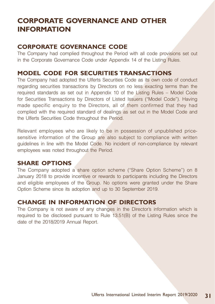## **CORPORATE GOVERNANCE AND OTHER INFORMATION**

### **CORPORATE GOVERNANCE CODE**

The Company had complied throughout the Period with all code provisions set out in the Corporate Governance Code under Appendix 14 of the Listing Rules.

#### **MODEL CODE FOR SECURITIES TRANSACTIONS**

The Company had adopted the Ulferts Securities Code as its own code of conduct regarding securities transactions by Directors on no less exacting terms than the required standards as set out in Appendix 10 of the Listing Rules – Model Code for Securities Transactions by Directors of Listed Issuers ("Model Code"). Having made specific enquiry to the Directors, all of them confirmed that they had complied with the required standard of dealings as set out in the Model Code and the Ulferts Securities Code throughout the Period.

Relevant employees who are likely to be in possession of unpublished pricesensitive information of the Group are also subject to compliance with written guidelines in line with the Model Code. No incident of non-compliance by relevant employees was noted throughout the Period.

#### **SHARE OPTIONS**

The Company adopted a share option scheme ("Share Option Scheme") on 8 January 2018 to provide incentive or rewards to participants including the Directors and eligible employees of the Group. No options were granted under the Share Option Scheme since its adoption and up to 30 September 2019.

### **CHANGE IN INFORMATION OF DIRECTORS**

The Company is not aware of any changes in the Director's information which is required to be disclosed pursuant to Rule 13.51(B) of the Listing Rules since the date of the 2018/2019 Annual Report.